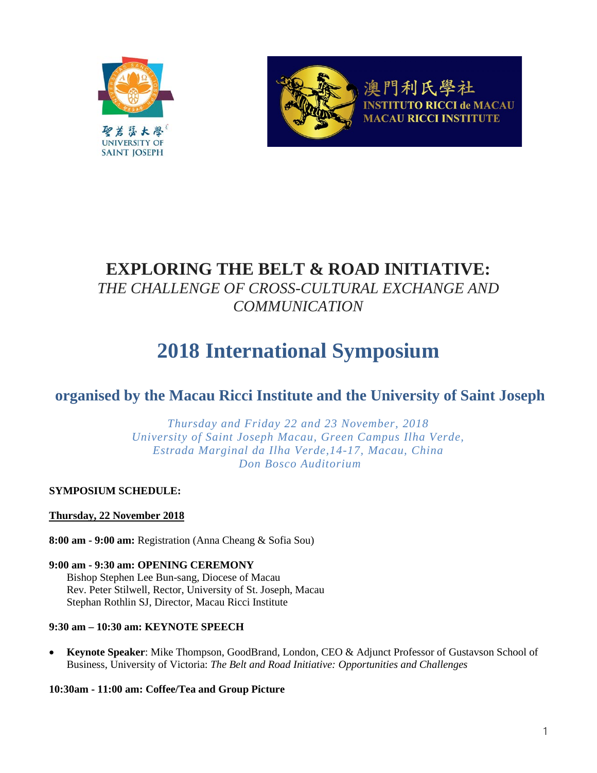



門利氏學社 **CI de MACAU MACAU RICCI INSTITUTE** 

# **EXPLORING THE BELT & ROAD INITIATIVE:** *THE CHALLENGE OF CROSS-CULTURAL EXCHANGE AND*

*COMMUNICATION*

# **2018 International Symposium**

## **organised by the Macau Ricci Institute and the University of Saint Joseph**

*Thursday and Friday 22 and 23 November, 2018 University of Saint Joseph Macau, Green Campus Ilha Verde, Estrada Marginal da Ilha Verde,14-17, Macau, China Don Bosco Auditorium*

**SYMPOSIUM SCHEDULE:**

## **Thursday, 22 November 2018**

**8:00 am - 9:00 am:** Registration (Anna Cheang & Sofia Sou)

**9:00 am - 9:30 am: OPENING CEREMONY** Bishop Stephen Lee Bun-sang, Diocese of Macau Rev. Peter Stilwell, Rector, University of St. Joseph, Macau Stephan Rothlin SJ, Director, Macau Ricci Institute

## **9:30 am – 10:30 am: KEYNOTE SPEECH**

• **Keynote Speaker**: Mike Thompson, GoodBrand, London, CEO & Adjunct Professor of Gustavson School of Business, University of Victoria: *The Belt and Road Initiative: Opportunities and Challenges*

**10:30am - 11:00 am: Coffee/Tea and Group Picture**